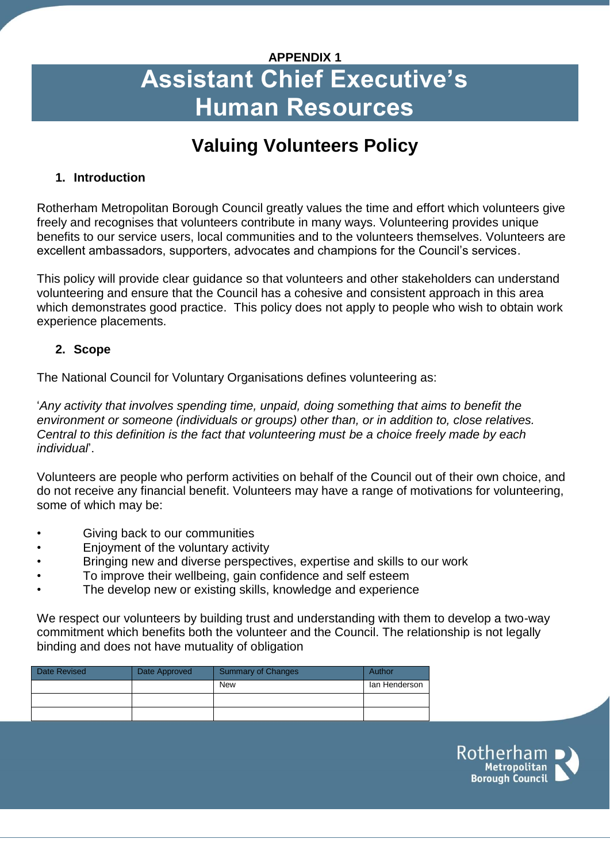# **APPENDIX 1 Assistant Chief Executive's Human Resources**

## **Valuing Volunteers Policy**

## **1. Introduction**

Rotherham Metropolitan Borough Council greatly values the time and effort which volunteers give freely and recognises that volunteers contribute in many ways. Volunteering provides unique benefits to our service users, local communities and to the volunteers themselves. Volunteers are excellent ambassadors, supporters, advocates and champions for the Council's services.

This policy will provide clear guidance so that volunteers and other stakeholders can understand volunteering and ensure that the Council has a cohesive and consistent approach in this area which demonstrates good practice. This policy does not apply to people who wish to obtain work experience placements.

#### **2. Scope**

The National Council for Voluntary Organisations defines volunteering as:

'*Any activity that involves spending time, unpaid, doing something that aims to benefit the environment or someone (individuals or groups) other than, or in addition to, close relatives. Central to this definition is the fact that volunteering must be a choice freely made by each individual*'.

Volunteers are people who perform activities on behalf of the Council out of their own choice, and do not receive any financial benefit. Volunteers may have a range of motivations for volunteering, some of which may be:

- Giving back to our communities
- Enjoyment of the voluntary activity
- Bringing new and diverse perspectives, expertise and skills to our work
- To improve their wellbeing, gain confidence and self esteem
- The develop new or existing skills, knowledge and experience

We respect our volunteers by building trust and understanding with them to develop a two-way commitment which benefits both the volunteer and the Council. The relationship is not legally binding and does not have mutuality of obligation

| <b>Date Revised</b> | Date Approved | Summary of Changes | Author        |
|---------------------|---------------|--------------------|---------------|
|                     |               | <b>New</b>         | lan Henderson |
|                     |               |                    |               |
|                     |               |                    |               |

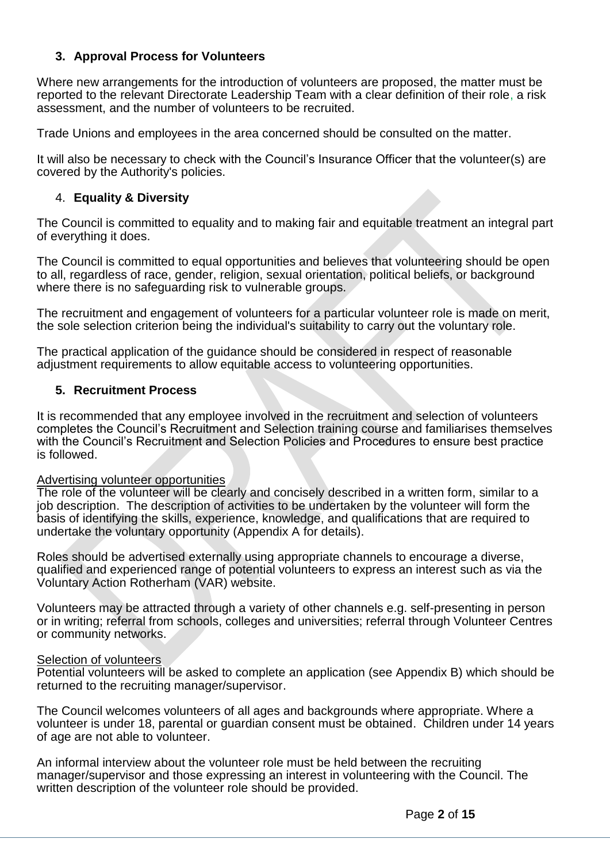#### **3. Approval Process for Volunteers**

Where new arrangements for the introduction of volunteers are proposed, the matter must be reported to the relevant Directorate Leadership Team with a clear definition of their role, a risk assessment, and the number of volunteers to be recruited.

Trade Unions and employees in the area concerned should be consulted on the matter.

It will also be necessary to check with the Council's Insurance Officer that the volunteer(s) are covered by the Authority's policies.

#### 4. **Equality & Diversity**

The Council is committed to equality and to making fair and equitable treatment an integral part of everything it does.

The Council is committed to equal opportunities and believes that volunteering should be open to all, regardless of race, gender, religion, sexual orientation, political beliefs, or background where there is no safeguarding risk to vulnerable groups.

The recruitment and engagement of volunteers for a particular volunteer role is made on merit, the sole selection criterion being the individual's suitability to carry out the voluntary role.

The practical application of the guidance should be considered in respect of reasonable adjustment requirements to allow equitable access to volunteering opportunities.

#### **5. Recruitment Process**

It is recommended that any employee involved in the recruitment and selection of volunteers completes the Council's Recruitment and Selection training course and familiarises themselves with the Council's Recruitment and Selection Policies and Procedures to ensure best practice is followed.

#### Advertising volunteer opportunities

The role of the volunteer will be clearly and concisely described in a written form, similar to a job description. The description of activities to be undertaken by the volunteer will form the basis of identifying the skills, experience, knowledge, and qualifications that are required to undertake the voluntary opportunity (Appendix A for details).

Roles should be advertised externally using appropriate channels to encourage a diverse, qualified and experienced range of potential volunteers to express an interest such as via the Voluntary Action Rotherham (VAR) website.

Volunteers may be attracted through a variety of other channels e.g. self-presenting in person or in writing; referral from schools, colleges and universities; referral through Volunteer Centres or community networks.

#### **Selection of volunteers**

Potential volunteers will be asked to complete an application (see Appendix B) which should be returned to the recruiting manager/supervisor.

The Council welcomes volunteers of all ages and backgrounds where appropriate. Where a volunteer is under 18, parental or guardian consent must be obtained. Children under 14 years of age are not able to volunteer.

An informal interview about the volunteer role must be held between the recruiting manager/supervisor and those expressing an interest in volunteering with the Council. The written description of the volunteer role should be provided.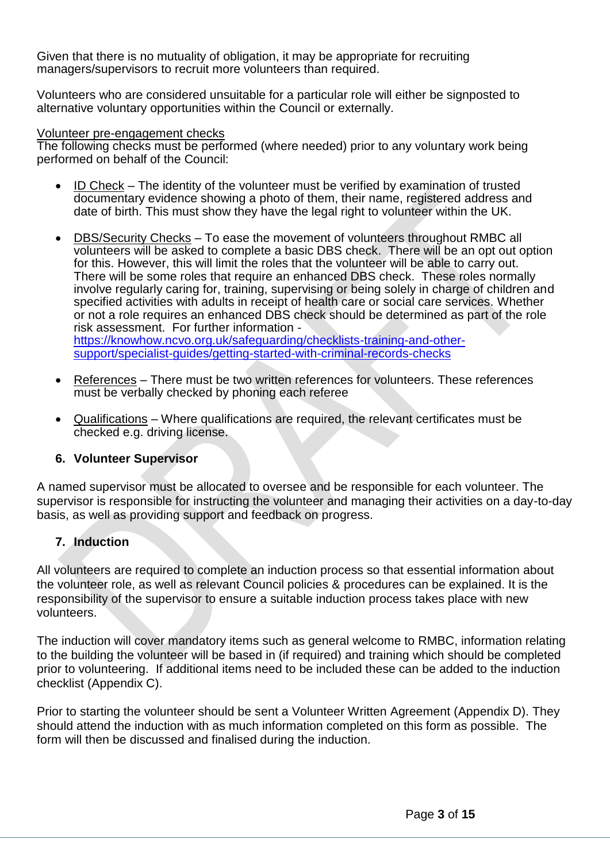Given that there is no mutuality of obligation, it may be appropriate for recruiting managers/supervisors to recruit more volunteers than required.

Volunteers who are considered unsuitable for a particular role will either be signposted to alternative voluntary opportunities within the Council or externally.

#### Volunteer pre-engagement checks

The following checks must be performed (where needed) prior to any voluntary work being performed on behalf of the Council:

- ID Check The identity of the volunteer must be verified by examination of trusted documentary evidence showing a photo of them, their name, registered address and date of birth. This must show they have the legal right to volunteer within the UK.
- DBS/Security Checks To ease the movement of volunteers throughout RMBC all volunteers will be asked to complete a basic DBS check. There will be an opt out option for this. However, this will limit the roles that the volunteer will be able to carry out. There will be some roles that require an enhanced DBS check. These roles normally involve regularly caring for, training, supervising or being solely in charge of children and specified activities with adults in receipt of health care or social care services. Whether or not a role requires an enhanced DBS check should be determined as part of the role risk assessment. For further information [https://knowhow.ncvo.org.uk/safeguarding/checklists-training-and-other](https://knowhow.ncvo.org.uk/safeguarding/checklists-training-and-other-support/specialist-guides/getting-started-with-criminal-records-checks)[support/specialist-guides/getting-started-with-criminal-records-checks](https://knowhow.ncvo.org.uk/safeguarding/checklists-training-and-other-support/specialist-guides/getting-started-with-criminal-records-checks)
- References There must be two written references for volunteers. These references must be verbally checked by phoning each referee
- Qualifications Where qualifications are required, the relevant certificates must be checked e.g. driving license.

#### **6. Volunteer Supervisor**

A named supervisor must be allocated to oversee and be responsible for each volunteer. The supervisor is responsible for instructing the volunteer and managing their activities on a day-to-day basis, as well as providing support and feedback on progress.

#### **7. Induction**

All volunteers are required to complete an induction process so that essential information about the volunteer role, as well as relevant Council policies & procedures can be explained. It is the responsibility of the supervisor to ensure a suitable induction process takes place with new volunteers.

The induction will cover mandatory items such as general welcome to RMBC, information relating to the building the volunteer will be based in (if required) and training which should be completed prior to volunteering. If additional items need to be included these can be added to the induction checklist (Appendix C).

Prior to starting the volunteer should be sent a Volunteer Written Agreement (Appendix D). They should attend the induction with as much information completed on this form as possible. The form will then be discussed and finalised during the induction.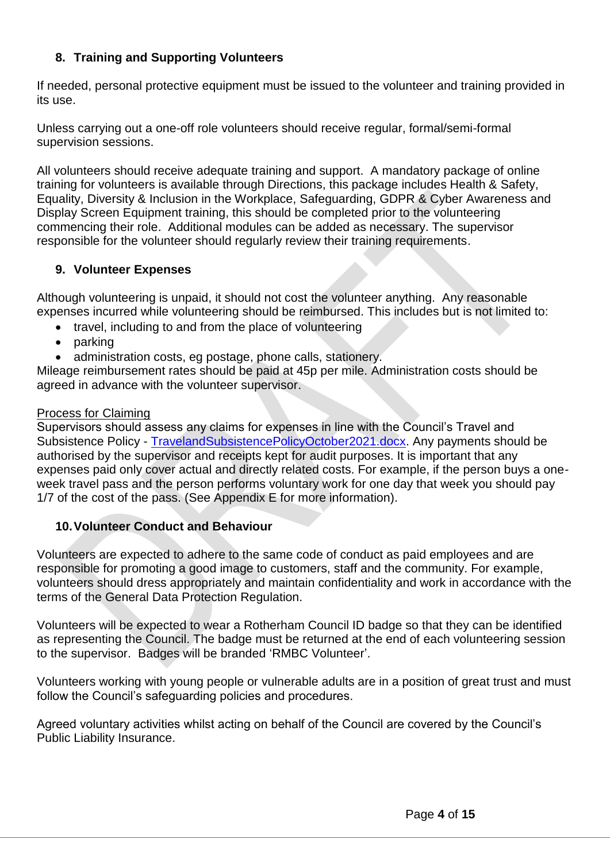## **8. Training and Supporting Volunteers**

If needed, personal protective equipment must be issued to the volunteer and training provided in its use.

Unless carrying out a one-off role volunteers should receive regular, formal/semi-formal supervision sessions.

All volunteers should receive adequate training and support. A mandatory package of online training for volunteers is available through Directions, this package includes Health & Safety, Equality, Diversity & Inclusion in the Workplace, Safeguarding, GDPR & Cyber Awareness and Display Screen Equipment training, this should be completed prior to the volunteering commencing their role. Additional modules can be added as necessary. The supervisor responsible for the volunteer should regularly review their training requirements.

#### **9. Volunteer Expenses**

Although volunteering is unpaid, it should not cost the volunteer anything. Any reasonable expenses incurred while volunteering should be reimbursed. This includes but is not limited to:

- travel, including to and from the place of volunteering
- parking
- administration costs, eg postage, phone calls, stationery.

Mileage reimbursement rates should be paid at 45p per mile. Administration costs should be agreed in advance with the volunteer supervisor.

#### Process for Claiming

Supervisors should assess any claims for expenses in line with the Council's Travel and Subsistence Policy - [TravelandSubsistencePolicyOctober2021.docx.](http://rmbcintranet/Directorates/ACE/HRandPayroll/A-ZofHRInformation/_layouts/15/WopiFrame.aspx?sourcedoc=/Directorates/ACE/HRandPayroll/A-ZofHRInformation/HR%20AZ%20Document%20Library/A-Z%20of%20HR%20Information/T/TravelandSubsistencePolicyOctober2021.docx&action=default) Any payments should be authorised by the supervisor and receipts kept for audit purposes. It is important that any expenses paid only cover actual and directly related costs. For example, if the person buys a oneweek travel pass and the person performs voluntary work for one day that week you should pay 1/7 of the cost of the pass. (See Appendix E for more information).

## **10.Volunteer Conduct and Behaviour**

Volunteers are expected to adhere to the same code of conduct as paid employees and are responsible for promoting a good image to customers, staff and the community. For example, volunteers should dress appropriately and maintain confidentiality and work in accordance with the terms of the General Data Protection Regulation.

Volunteers will be expected to wear a Rotherham Council ID badge so that they can be identified as representing the Council. The badge must be returned at the end of each volunteering session to the supervisor. Badges will be branded 'RMBC Volunteer'.

Volunteers working with young people or vulnerable adults are in a position of great trust and must follow the Council's safeguarding policies and procedures.

Agreed voluntary activities whilst acting on behalf of the Council are covered by the Council's Public Liability Insurance.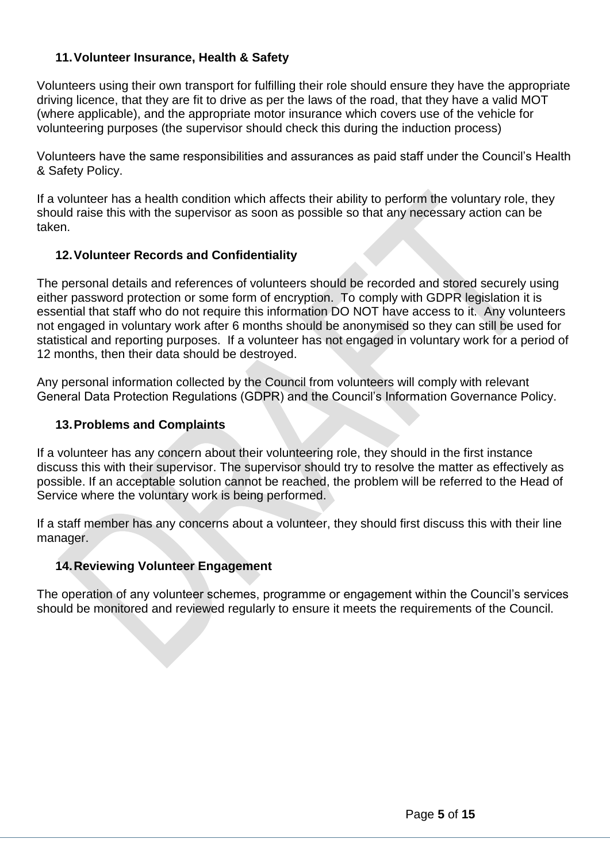## **11.Volunteer Insurance, Health & Safety**

Volunteers using their own transport for fulfilling their role should ensure they have the appropriate driving licence, that they are fit to drive as per the laws of the road, that they have a valid MOT (where applicable), and the appropriate motor insurance which covers use of the vehicle for volunteering purposes (the supervisor should check this during the induction process)

Volunteers have the same responsibilities and assurances as paid staff under the Council's Health & Safety Policy.

If a volunteer has a health condition which affects their ability to perform the voluntary role, they should raise this with the supervisor as soon as possible so that any necessary action can be taken.

## **12.Volunteer Records and Confidentiality**

The personal details and references of volunteers should be recorded and stored securely using either password protection or some form of encryption. To comply with GDPR legislation it is essential that staff who do not require this information DO NOT have access to it. Any volunteers not engaged in voluntary work after 6 months should be anonymised so they can still be used for statistical and reporting purposes. If a volunteer has not engaged in voluntary work for a period of 12 months, then their data should be destroyed.

Any personal information collected by the Council from volunteers will comply with relevant General Data Protection Regulations (GDPR) and the Council's Information Governance Policy.

#### **13.Problems and Complaints**

If a volunteer has any concern about their volunteering role, they should in the first instance discuss this with their supervisor. The supervisor should try to resolve the matter as effectively as possible. If an acceptable solution cannot be reached, the problem will be referred to the Head of Service where the voluntary work is being performed.

If a staff member has any concerns about a volunteer, they should first discuss this with their line manager.

## **14.Reviewing Volunteer Engagement**

The operation of any volunteer schemes, programme or engagement within the Council's services should be monitored and reviewed regularly to ensure it meets the requirements of the Council.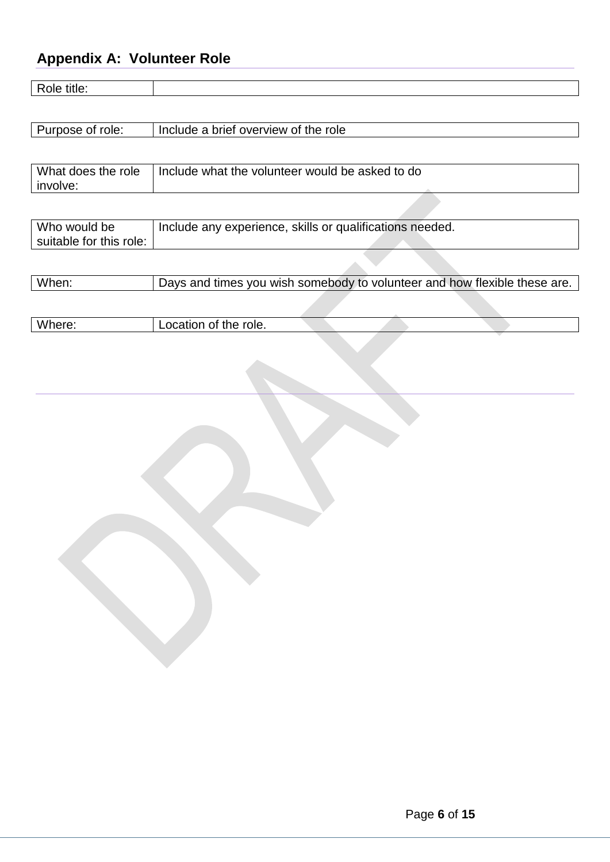## **Appendix A: Volunteer Role**

suitable for this role:

| Role title:                    |                                                          |
|--------------------------------|----------------------------------------------------------|
|                                |                                                          |
| Purpose of role:               | Include a brief overview of the role                     |
|                                |                                                          |
| What does the role<br>involve: | Include what the volunteer would be asked to do          |
|                                |                                                          |
| Who would be                   | Include any experience, skills or qualifications needed. |

| When: | Days and times you wish somebody to volunteer and how flexible these are. |  |  |
|-------|---------------------------------------------------------------------------|--|--|
|       |                                                                           |  |  |

| Where | role.<br><br> |  |  |  |
|-------|---------------|--|--|--|
|       |               |  |  |  |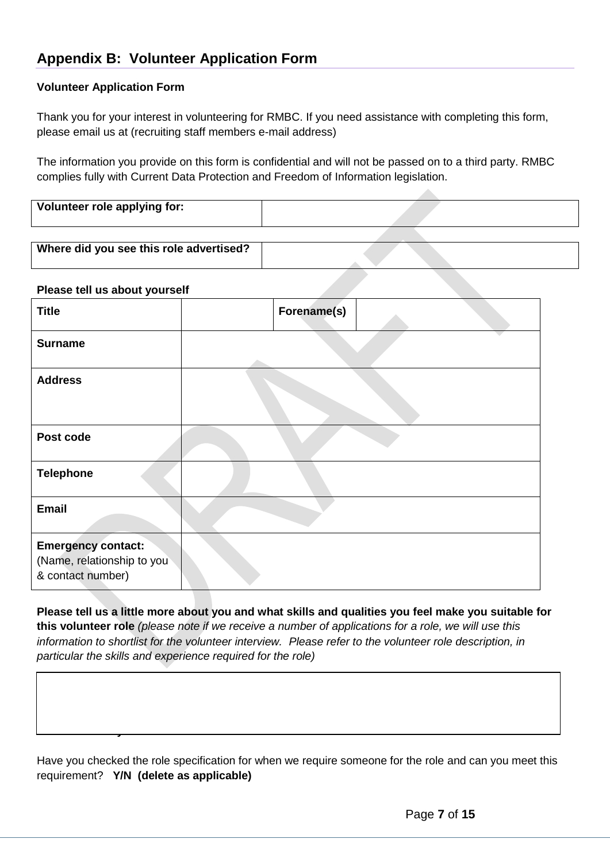## **Appendix B: Volunteer Application Form**

#### **Volunteer Application Form**

Thank you for your interest in volunteering for RMBC. If you need assistance with completing this form, please email us at (recruiting staff members e-mail address)

The information you provide on this form is confidential and will not be passed on to a third party. RMBC complies fully with Current Data Protection and Freedom of Information legislation.

| Volunteer role applying for: |  |
|------------------------------|--|
|                              |  |

**College** 

| Where did you see this role advertised? |  |  |
|-----------------------------------------|--|--|
|                                         |  |  |

#### **Please tell us about yourself**

**Your availability to volunteer**

| <b>Title</b>                                                                 | Forename(s) |  |
|------------------------------------------------------------------------------|-------------|--|
| <b>Surname</b>                                                               |             |  |
| <b>Address</b>                                                               |             |  |
| Post code                                                                    |             |  |
| <b>Telephone</b>                                                             |             |  |
| <b>Email</b>                                                                 |             |  |
| <b>Emergency contact:</b><br>(Name, relationship to you<br>& contact number) |             |  |

**Please tell us a little more about you and what skills and qualities you feel make you suitable for this volunteer role** *(please note if we receive a number of applications for a role, we will use this information to shortlist for the volunteer interview. Please refer to the volunteer role description, in particular the skills and experience required for the role)*

Have you checked the role specification for when we require someone for the role and can you meet this requirement? **Y/N (delete as applicable)**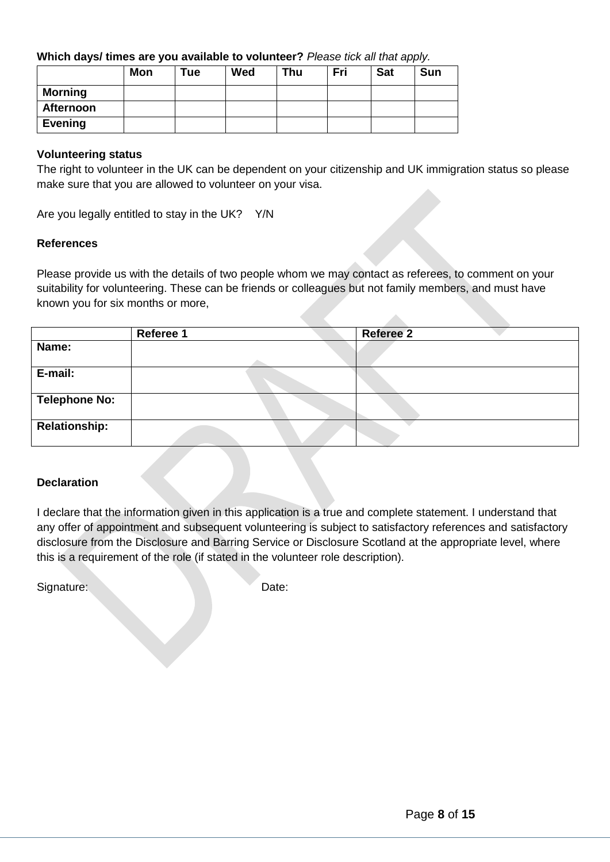#### **Which days/ times are you available to volunteer?** *Please tick all that apply.*

|                | <b>Mon</b> | Tue | Wed | Thu | Fri | <b>Sat</b> | <b>Sun</b> |
|----------------|------------|-----|-----|-----|-----|------------|------------|
| <b>Morning</b> |            |     |     |     |     |            |            |
| Afternoon      |            |     |     |     |     |            |            |
| <b>Evening</b> |            |     |     |     |     |            |            |

#### **Volunteering status**

The right to volunteer in the UK can be dependent on your citizenship and UK immigration status so please make sure that you are allowed to volunteer on your visa.

Are you legally entitled to stay in the UK? Y/N

#### **References**

Please provide us with the details of two people whom we may contact as referees, to comment on your suitability for volunteering. These can be friends or colleagues but not family members, and must have known you for six months or more,

|                      | Referee 1 | <b>Referee 2</b> |
|----------------------|-----------|------------------|
| Name:                |           |                  |
|                      |           |                  |
| E-mail:              |           |                  |
|                      |           |                  |
| <b>Telephone No:</b> |           |                  |
| <b>Relationship:</b> |           |                  |

#### **Declaration**

I declare that the information given in this application is a true and complete statement. I understand that any offer of appointment and subsequent volunteering is subject to satisfactory references and satisfactory disclosure from the Disclosure and Barring Service or Disclosure Scotland at the appropriate level, where this is a requirement of the role (if stated in the volunteer role description).

Signature: Date: Date: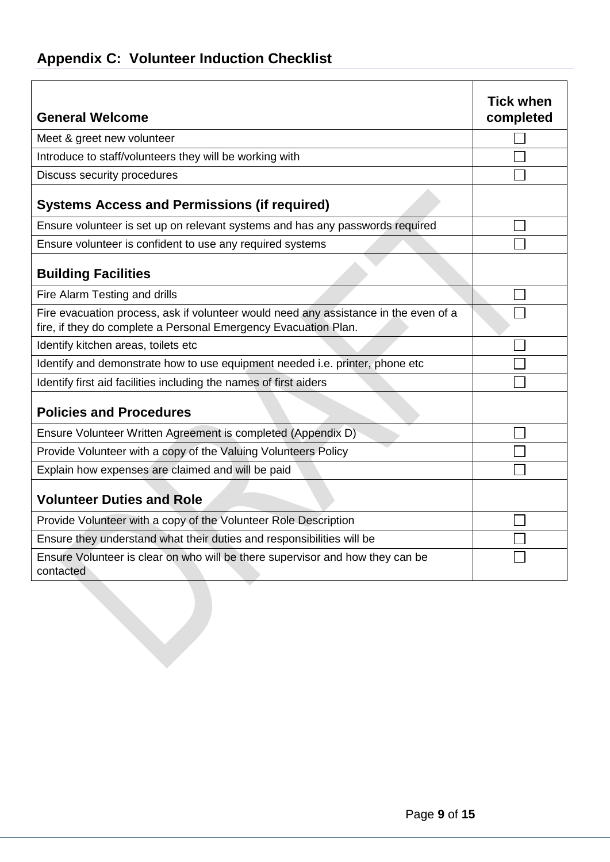| <b>Appendix C: Volunteer Induction Checklist</b> |  |  |  |
|--------------------------------------------------|--|--|--|
|--------------------------------------------------|--|--|--|

| <b>General Welcome</b>                                                                                                                                  | <b>Tick when</b><br>completed |
|---------------------------------------------------------------------------------------------------------------------------------------------------------|-------------------------------|
| Meet & greet new volunteer                                                                                                                              |                               |
| Introduce to staff/volunteers they will be working with                                                                                                 |                               |
| Discuss security procedures                                                                                                                             |                               |
| <b>Systems Access and Permissions (if required)</b>                                                                                                     |                               |
| Ensure volunteer is set up on relevant systems and has any passwords required                                                                           |                               |
| Ensure volunteer is confident to use any required systems                                                                                               |                               |
| <b>Building Facilities</b>                                                                                                                              |                               |
| Fire Alarm Testing and drills                                                                                                                           |                               |
| Fire evacuation process, ask if volunteer would need any assistance in the even of a<br>fire, if they do complete a Personal Emergency Evacuation Plan. |                               |
| Identify kitchen areas, toilets etc                                                                                                                     |                               |
| Identify and demonstrate how to use equipment needed i.e. printer, phone etc                                                                            |                               |
| Identify first aid facilities including the names of first aiders                                                                                       |                               |
| <b>Policies and Procedures</b>                                                                                                                          |                               |
| Ensure Volunteer Written Agreement is completed (Appendix D)                                                                                            |                               |
| Provide Volunteer with a copy of the Valuing Volunteers Policy                                                                                          |                               |
| Explain how expenses are claimed and will be paid                                                                                                       |                               |
| <b>Volunteer Duties and Role</b>                                                                                                                        |                               |
| Provide Volunteer with a copy of the Volunteer Role Description                                                                                         |                               |
| Ensure they understand what their duties and responsibilities will be                                                                                   |                               |
| Ensure Volunteer is clear on who will be there supervisor and how they can be<br>contacted                                                              |                               |
|                                                                                                                                                         |                               |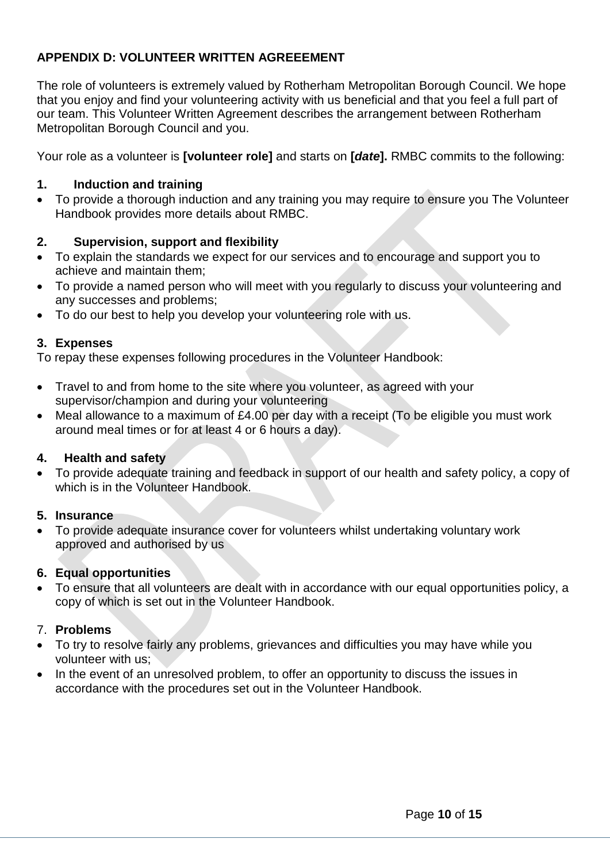## **APPENDIX D: VOLUNTEER WRITTEN AGREEEMENT**

The role of volunteers is extremely valued by Rotherham Metropolitan Borough Council. We hope that you enjoy and find your volunteering activity with us beneficial and that you feel a full part of our team. This Volunteer Written Agreement describes the arrangement between Rotherham Metropolitan Borough Council and you.

Your role as a volunteer is **[volunteer role]** and starts on **[***date***].** RMBC commits to the following:

#### **1. Induction and training**

 To provide a thorough induction and any training you may require to ensure you The Volunteer Handbook provides more details about RMBC.

## **2. Supervision, support and flexibility**

- To explain the standards we expect for our services and to encourage and support you to achieve and maintain them;
- To provide a named person who will meet with you regularly to discuss your volunteering and any successes and problems;
- To do our best to help you develop your volunteering role with us.

#### **3. Expenses**

To repay these expenses following procedures in the Volunteer Handbook:

- Travel to and from home to the site where you volunteer, as agreed with your supervisor/champion and during your volunteering
- Meal allowance to a maximum of £4.00 per day with a receipt (To be eligible you must work around meal times or for at least 4 or 6 hours a day).

#### **4. Health and safety**

 To provide adequate training and feedback in support of our health and safety policy, a copy of which is in the Volunteer Handbook.

#### **5. Insurance**

 To provide adequate insurance cover for volunteers whilst undertaking voluntary work approved and authorised by us

## **6. Equal opportunities**

 To ensure that all volunteers are dealt with in accordance with our equal opportunities policy, a copy of which is set out in the Volunteer Handbook.

#### 7. **Problems**

- To try to resolve fairly any problems, grievances and difficulties you may have while you volunteer with us;
- In the event of an unresolved problem, to offer an opportunity to discuss the issues in accordance with the procedures set out in the Volunteer Handbook.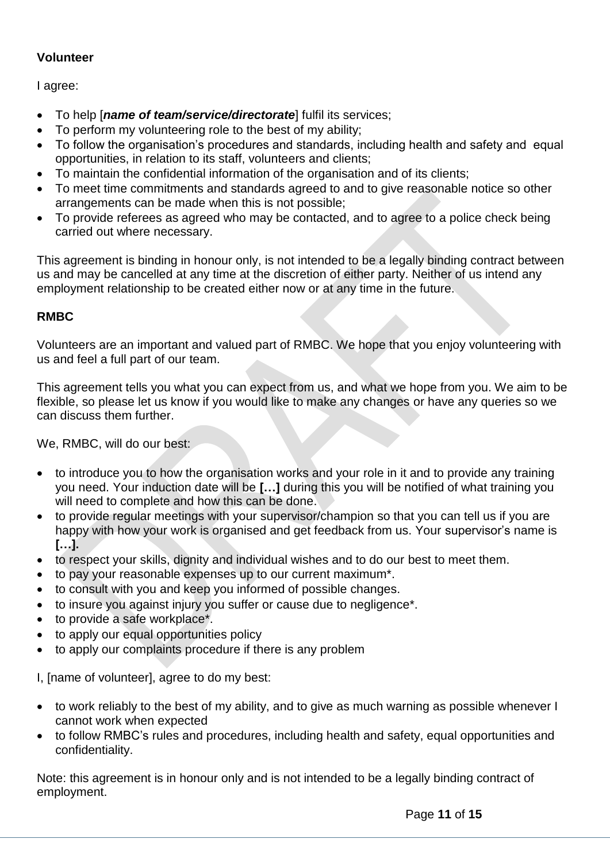## **Volunteer**

I agree:

- To help [*name of team/service/directorate*] fulfil its services;
- To perform my volunteering role to the best of my ability;
- To follow the organisation's procedures and standards, including health and safety and equal opportunities, in relation to its staff, volunteers and clients;
- To maintain the confidential information of the organisation and of its clients;
- To meet time commitments and standards agreed to and to give reasonable notice so other arrangements can be made when this is not possible;
- To provide referees as agreed who may be contacted, and to agree to a police check being carried out where necessary.

This agreement is binding in honour only, is not intended to be a legally binding contract between us and may be cancelled at any time at the discretion of either party. Neither of us intend any employment relationship to be created either now or at any time in the future.

## **RMBC**

Volunteers are an important and valued part of RMBC. We hope that you enjoy volunteering with us and feel a full part of our team.

This agreement tells you what you can expect from us, and what we hope from you. We aim to be flexible, so please let us know if you would like to make any changes or have any queries so we can discuss them further.

We, RMBC, will do our best:

- to introduce you to how the organisation works and your role in it and to provide any training you need. Your induction date will be **[…]** during this you will be notified of what training you will need to complete and how this can be done.
- to provide regular meetings with your supervisor/champion so that you can tell us if you are happy with how your work is organised and get feedback from us. Your supervisor's name is **[…].**
- to respect your skills, dignity and individual wishes and to do our best to meet them.
- to pay your reasonable expenses up to our current maximum\*.
- to consult with you and keep you informed of possible changes.
- to insure you against injury you suffer or cause due to negligence\*.
- to provide a safe workplace\*.
- to apply our equal opportunities policy
- to apply our complaints procedure if there is any problem

I, [name of volunteer], agree to do my best:

- to work reliably to the best of my ability, and to give as much warning as possible whenever I cannot work when expected
- to follow RMBC's rules and procedures, including health and safety, equal opportunities and confidentiality.

Note: this agreement is in honour only and is not intended to be a legally binding contract of employment.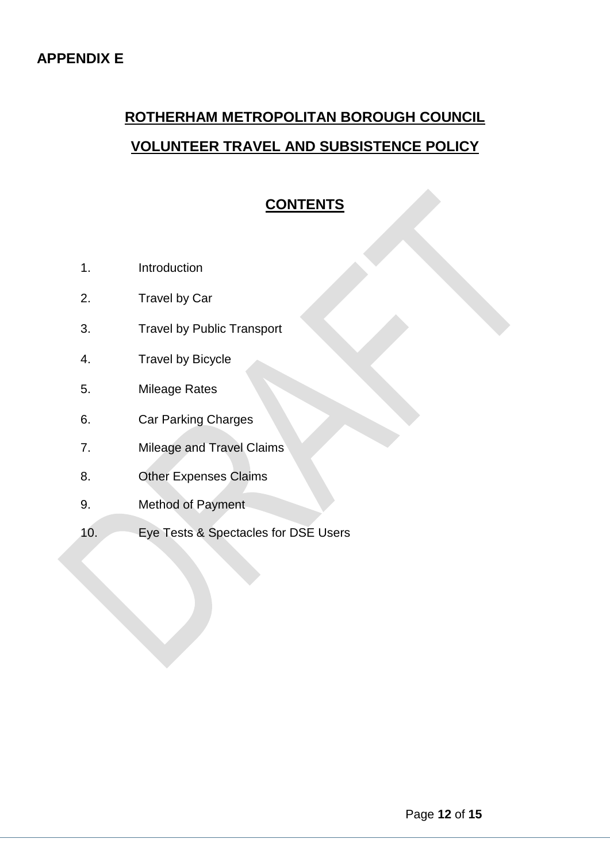# **ROTHERHAM METROPOLITAN BOROUGH COUNCIL VOLUNTEER TRAVEL AND SUBSISTENCE POLICY**

## **CONTENTS**

- 1. Introduction
- 2. Travel by Car
- 3. Travel by Public Transport
- 4. Travel by Bicycle
- 5. Mileage Rates
- 6. Car Parking Charges
- 7. Mileage and Travel Claims
- 8. Other Expenses Claims
- 9. Method of Payment
- 10. Eye Tests & Spectacles for DSE Users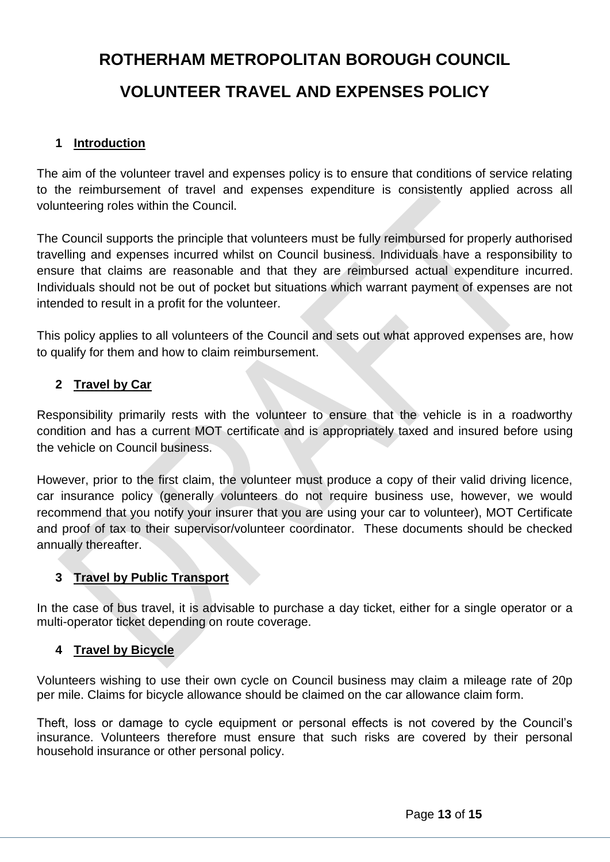# **ROTHERHAM METROPOLITAN BOROUGH COUNCIL VOLUNTEER TRAVEL AND EXPENSES POLICY**

#### **1 Introduction**

The aim of the volunteer travel and expenses policy is to ensure that conditions of service relating to the reimbursement of travel and expenses expenditure is consistently applied across all volunteering roles within the Council.

The Council supports the principle that volunteers must be fully reimbursed for properly authorised travelling and expenses incurred whilst on Council business. Individuals have a responsibility to ensure that claims are reasonable and that they are reimbursed actual expenditure incurred. Individuals should not be out of pocket but situations which warrant payment of expenses are not intended to result in a profit for the volunteer.

This policy applies to all volunteers of the Council and sets out what approved expenses are, how to qualify for them and how to claim reimbursement.

## **2 Travel by Car**

Responsibility primarily rests with the volunteer to ensure that the vehicle is in a roadworthy condition and has a current MOT certificate and is appropriately taxed and insured before using the vehicle on Council business.

However, prior to the first claim, the volunteer must produce a copy of their valid driving licence, car insurance policy (generally volunteers do not require business use, however, we would recommend that you notify your insurer that you are using your car to volunteer), MOT Certificate and proof of tax to their supervisor/volunteer coordinator. These documents should be checked annually thereafter.

## **3 Travel by Public Transport**

In the case of bus travel, it is advisable to purchase a day ticket, either for a single operator or a multi-operator ticket depending on route coverage.

#### **4 Travel by Bicycle**

Volunteers wishing to use their own cycle on Council business may claim a mileage rate of 20p per mile. Claims for bicycle allowance should be claimed on the car allowance claim form.

Theft, loss or damage to cycle equipment or personal effects is not covered by the Council's insurance. Volunteers therefore must ensure that such risks are covered by their personal household insurance or other personal policy.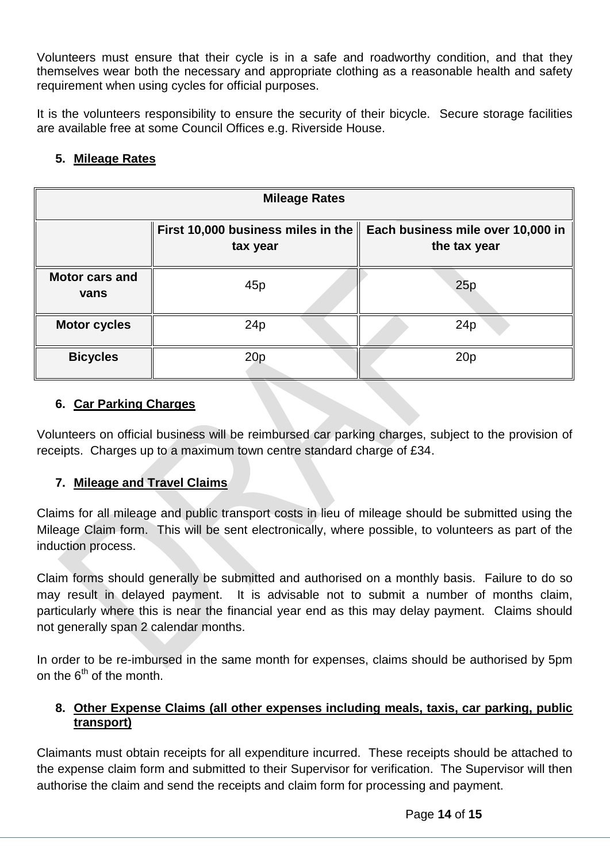Volunteers must ensure that their cycle is in a safe and roadworthy condition, and that they themselves wear both the necessary and appropriate clothing as a reasonable health and safety requirement when using cycles for official purposes.

It is the volunteers responsibility to ensure the security of their bicycle. Secure storage facilities are available free at some Council Offices e.g. Riverside House.

## **5. Mileage Rates**

| <b>Mileage Rates</b>          |                                                |                                                   |  |  |  |
|-------------------------------|------------------------------------------------|---------------------------------------------------|--|--|--|
|                               | First 10,000 business miles in the<br>tax year | Each business mile over 10,000 in<br>the tax year |  |  |  |
| <b>Motor cars and</b><br>vans | 45p                                            | 25p                                               |  |  |  |
| <b>Motor cycles</b>           | 24p                                            | 24p                                               |  |  |  |
| <b>Bicycles</b>               | 20p                                            | 20p                                               |  |  |  |

## **6. Car Parking Charges**

Volunteers on official business will be reimbursed car parking charges, subject to the provision of receipts. Charges up to a maximum town centre standard charge of £34.

## **7. Mileage and Travel Claims**

Claims for all mileage and public transport costs in lieu of mileage should be submitted using the Mileage Claim form. This will be sent electronically, where possible, to volunteers as part of the induction process.

Claim forms should generally be submitted and authorised on a monthly basis. Failure to do so may result in delayed payment. It is advisable not to submit a number of months claim, particularly where this is near the financial year end as this may delay payment. Claims should not generally span 2 calendar months.

In order to be re-imbursed in the same month for expenses, claims should be authorised by 5pm on the  $6<sup>th</sup>$  of the month.

## **8. Other Expense Claims (all other expenses including meals, taxis, car parking, public transport)**

Claimants must obtain receipts for all expenditure incurred. These receipts should be attached to the expense claim form and submitted to their Supervisor for verification. The Supervisor will then authorise the claim and send the receipts and claim form for processing and payment.